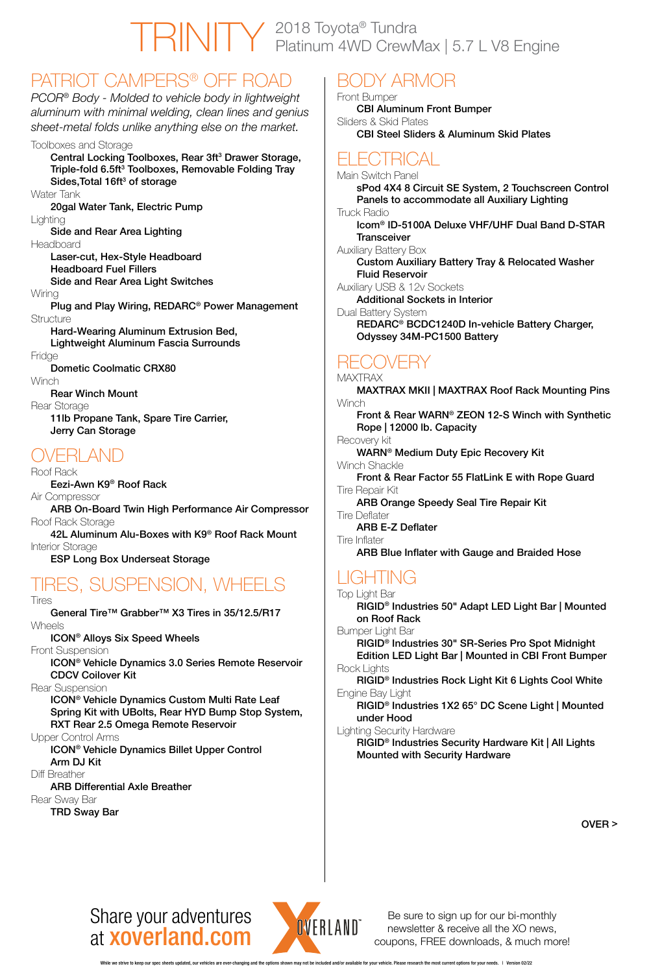# Share your adventures at xoverland.com



Be sure to sign up for our bi-monthly newsletter & receive all the XO news, coupons, FREE downloads, & much more!

20gal Water Tank, Electric Pump **Lighting** 

### PATRIOT CAMPERS® OFF ROAD

Plug and Play Wiring, REDARC® Power Management **Structure** 

*PCOR® Body - Molded to vehicle body in lightweight aluminum with minimal welding, clean lines and genius sheet-metal folds unlike anything else on the market.*

#### Toolboxes and Storage

Central Locking Toolboxes, Rear 3ft<sup>3</sup> Drawer Storage, Triple-fold 6.5ft<sup>3</sup> Toolboxes, Removable Folding Tray Sides,Total 16ft $^3$  of storage

Water Tank

Side and Rear Area Lighting

Headboard

Laser-cut, Hex-Style Headboard Headboard Fuel Fillers

Side and Rear Area Light Switches

Wiring

Hard-Wearing Aluminum Extrusion Bed,

Lightweight Aluminum Fascia Surrounds

Fridge

Dometic Coolmatic CRX80

**Winch** 

Icom® ID-5100A Deluxe VHF/UHF Dual Band D-STAR **Transceiver** 

Rear Winch Mount

Rear Storage

11lb Propane Tank, Spare Tire Carrier, Jerry Can Storage

## OVERLAND

Roof Rack

Eezi-Awn K9® Roof Rack

Air Compressor

MAXTRAX MKII | MAXTRAX Roof Rack Mounting Pins **Winch** 

ARB On-Board Twin High Performance Air Compressor Roof Rack Storage

42L Aluminum Alu-Boxes with K9® Roof Rack Mount Interior Storage

ESP Long Box Underseat Storage

# TIRES, SUSPENSION, WHEELS

Tires

General Tire™ Grabber™ X3 Tires in 35/12.5/R17 Wheels

ICON® Alloys Six Speed Wheels

Front Suspension

ICON® Vehicle Dynamics 3.0 Series Remote Reservoir

#### CDCV Coilover Kit

Rear Suspension

ICON® Vehicle Dynamics Custom Multi Rate Leaf Spring Kit with UBolts, Rear HYD Bump Stop System, RXT Rear 2.5 Omega Remote Reservoir

Upper Control Arms

ICON® Vehicle Dynamics Billet Upper Control Arm DJ Kit

Diff Breather

ARB Differential Axle Breather

Rear Sway Bar

TRD Sway Bar

# BODY ARMOR

Front Bumper CBI Aluminum Front Bumper Sliders & Skid Plates CBI Steel Sliders & Aluminum Skid Plates

# ELECTRICAL

Main Switch Panel

sPod 4X4 8 Circuit SE System, 2 Touchscreen Control Panels to accommodate all Auxiliary Lighting Truck Radio

Auxiliary Battery Box

Custom Auxiliary Battery Tray & Relocated Washer Fluid Reservoir

Auxiliary USB & 12v Sockets

Additional Sockets in Interior

Dual Battery System

REDARC® BCDC1240D In-vehicle Battery Charger, Odyssey 34M-PC1500 Battery

### RECOVERY

#### **MAXTRAX**

Front & Rear WARN® ZEON 12-S Winch with Synthetic Rope | 12000 lb. Capacity

Recovery kit

WARN® Medium Duty Epic Recovery Kit

Winch Shackle

Front & Rear Factor 55 FlatLink E with Rope Guard Tire Repair Kit

ARB Orange Speedy Seal Tire Repair Kit

Tire Deflater

#### ARB E-Z Deflater

Tire Inflater

ARB Blue Inflater with Gauge and Braided Hose

# LIGHTING

#### Top Light Bar

RIGID® Industries 50" Adapt LED Light Bar | Mounted on Roof Rack

Bumper Light Bar

RIGID® Industries 30" SR-Series Pro Spot Midnight Edition LED Light Bar | Mounted in CBI Front Bumper Rock Lights

RIGID® Industries Rock Light Kit 6 Lights Cool White Engine Bay Light

RIGID® Industries 1X2 65° DC Scene Light | Mounted under Hood

Lighting Security Hardware

RIGID® Industries Security Hardware Kit | All Lights Mounted with Security Hardware

OVER >

# TRINITY 2018 Toyota® Tundra Platinum 4WD CrewMax | 5.7 L V8 Engine